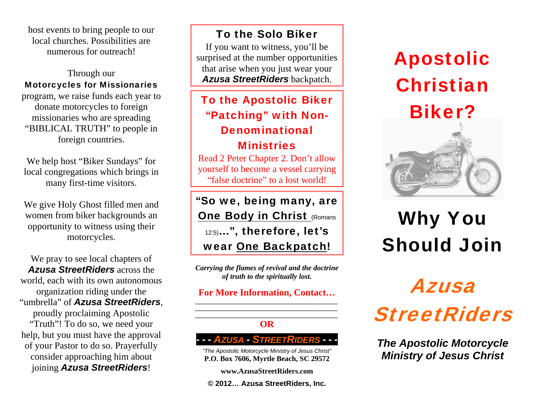host events to bring people to our local churches. Possibilities are numerous for outreach!

#### Through our Motorcycles for Missionaries

program, we raise funds each year to donate motorcycles to foreign missionaries who are spreading "BIBLICAL TRUTH" to people in foreign countries.

We help host "Biker Sundays" for local congregations which brings in many first-time visitors.

We give Holy Ghost filled men and women from biker backgrounds an opportunity to witness using their motorcycles.

We pray to see local chapters of *Azusa StreetRiders* across the world, each with its own autonomous organization riding under the "umbrella" of *Azusa StreetRiders*, proudly proclaiming Apostolic "Truth"! To do so, we need your help, but you must have the approval of your Pastor to do so. Prayerfully consider approaching him about joining *Azusa StreetRiders*!

To the Solo Biker If you want to witness, you'll be

surprised at the number opportunities that arise when you just wear your *Azusa StreetRiders* backpatch.

### To the Apostolic Biker "Patching" with Non-Denominational **Ministries**

Read 2 Peter Chapter 2. Don't allow yourself to become a vessel carrying "false doctrine" to a lost world!

"So we, being many, are **One Body in Christ (Romans)** 12:5)…", therefore, let's wear One Backpatch!

*Carrying the flames of revival and the doctrine of truth to the spiritually lost.* 

**For More Information, Contact…** 

#### **\_\_\_\_\_\_\_\_\_\_\_\_\_\_\_\_\_\_\_\_\_\_\_\_\_\_\_\_\_\_\_\_\_\_\_\_\_\_\_\_\_\_\_\_\_\_\_ OR**

 **- -** *AZUSA***-** *STREETRIDERS* **- - -** 

*"The Apostolic Motorcycle Ministry of Jesus Christ"*  **P.O. Box 7606, Myrtle Beach, SC 29572** 

**www.AzusaStreetRiders.com** 

**© 2012… Azusa StreetRiders, Inc.** 

## Apostolic Christian



## Why You Should Join

# Azusa **StreetRiders**

*The Apostolic Motorcycle Ministry of Jesus Christ*